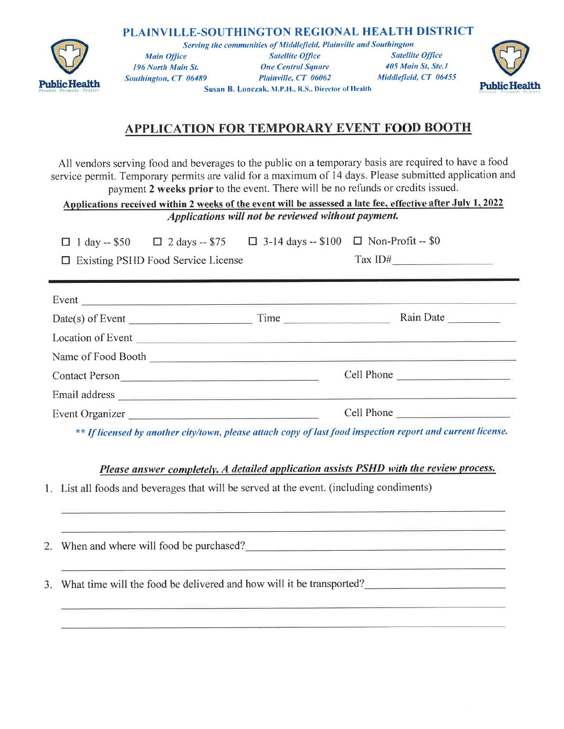## PLAINVILLE-SOUTHINGTON REGIONAL HEALTH DISTRICT



Serving the communities of Middlefield, Plainville and Southington **Satellite Office Main Office Satellite Office** 405 Main St, Ste.1 **One Central Square** 196 North Main St. Plainville, CT 06062 Middlefield, CT 06455 Southington, CT 06489 Susan B. Lonczak, M.P.H., R.S., Director of Health



## APPLICATION FOR TEMPORARY EVENT FOOD BOOTH

All vendors serving food and beverages to the public on a temporary basis are required to have a food service permit. Temporary permits are valid for a maximum of 14 days. Please submitted application and payment 2 weeks prior to the event. There will be no refunds or credits issued.

Applications received within 2 weeks of the event will be assessed a late fee, effective after July 1, 2022 Applications will not be reviewed without payment.

 $\Box$  3-14 days -- \$100  $\Box$  Non-Profit -- \$0  $\Box$  1 day -- \$50  $\Box$  2 days -- \$75

| □ Existing PSHD Food Service License |  |  |
|--------------------------------------|--|--|
|                                      |  |  |

|  | Let Existing Forth Tood Scrytee Electise |  |
|--|------------------------------------------|--|
|  |                                          |  |
|  |                                          |  |

| Event<br><u> 1980 - Jan Barbara (j. 1980)</u>                                                                                                                                                                                  |      |            |
|--------------------------------------------------------------------------------------------------------------------------------------------------------------------------------------------------------------------------------|------|------------|
| $Date(s)$ of Event                                                                                                                                                                                                             | Time | Rain Date  |
| Location of Event                                                                                                                                                                                                              |      |            |
|                                                                                                                                                                                                                                |      |            |
| Contact Person                                                                                                                                                                                                                 |      | Cell Phone |
| Email address entre and the contract of the contract of the contract of the contract of the contract of the contract of the contract of the contract of the contract of the contract of the contract of the contract of the co |      |            |
| Event Organizer                                                                                                                                                                                                                |      | Cell Phone |

\*\* If licensed by another city/town, please attach copy of last food inspection report and current license.

Please answer completely. A detailed application assists PSHD with the review process.

1. List all foods and beverages that will be served at the event. (including condiments)

| 2. When and where will food be purchased?                               |
|-------------------------------------------------------------------------|
| 3. What time will the food be delivered and how will it be transported? |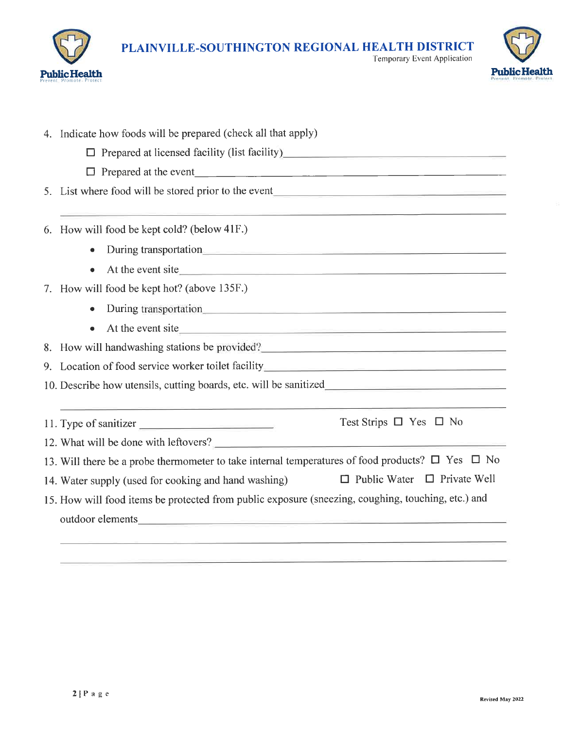



|  | 4. Indicate how foods will be prepared (check all that apply)                                                                                                                                                                  |  |  |  |  |
|--|--------------------------------------------------------------------------------------------------------------------------------------------------------------------------------------------------------------------------------|--|--|--|--|
|  | □ Prepared at licensed facility (list facility)<br>□ Prepared at licensed facility (list facility)                                                                                                                             |  |  |  |  |
|  |                                                                                                                                                                                                                                |  |  |  |  |
|  | 5. List where food will be stored prior to the event                                                                                                                                                                           |  |  |  |  |
|  | 6. How will food be kept cold? (below 41F.)                                                                                                                                                                                    |  |  |  |  |
|  | During transportation                                                                                                                                                                                                          |  |  |  |  |
|  | At the event site                                                                                                                                                                                                              |  |  |  |  |
|  | 7. How will food be kept hot? (above 135F.)                                                                                                                                                                                    |  |  |  |  |
|  | During transportation                                                                                                                                                                                                          |  |  |  |  |
|  | At the event site                                                                                                                                                                                                              |  |  |  |  |
|  | 8. How will handwashing stations be provided?                                                                                                                                                                                  |  |  |  |  |
|  | 9. Location of food service worker toilet facility______________________________                                                                                                                                               |  |  |  |  |
|  |                                                                                                                                                                                                                                |  |  |  |  |
|  | Test Strips $\Box$ Yes $\Box$ No<br>11. Type of sanitizer                                                                                                                                                                      |  |  |  |  |
|  | 12. What will be done with leftovers?                                                                                                                                                                                          |  |  |  |  |
|  | 13. Will there be a probe thermometer to take internal temperatures of food products? $\Box$ Yes $\Box$ No                                                                                                                     |  |  |  |  |
|  | $\Box$ Public Water $\Box$ Private Well<br>14. Water supply (used for cooking and hand washing)                                                                                                                                |  |  |  |  |
|  | 15. How will food items be protected from public exposure (sneezing, coughing, touching, etc.) and                                                                                                                             |  |  |  |  |
|  | outdoor elements experience and the series of the series of the series of the series of the series of the series of the series of the series of the series of the series of the series of the series of the series of the seri |  |  |  |  |
|  |                                                                                                                                                                                                                                |  |  |  |  |